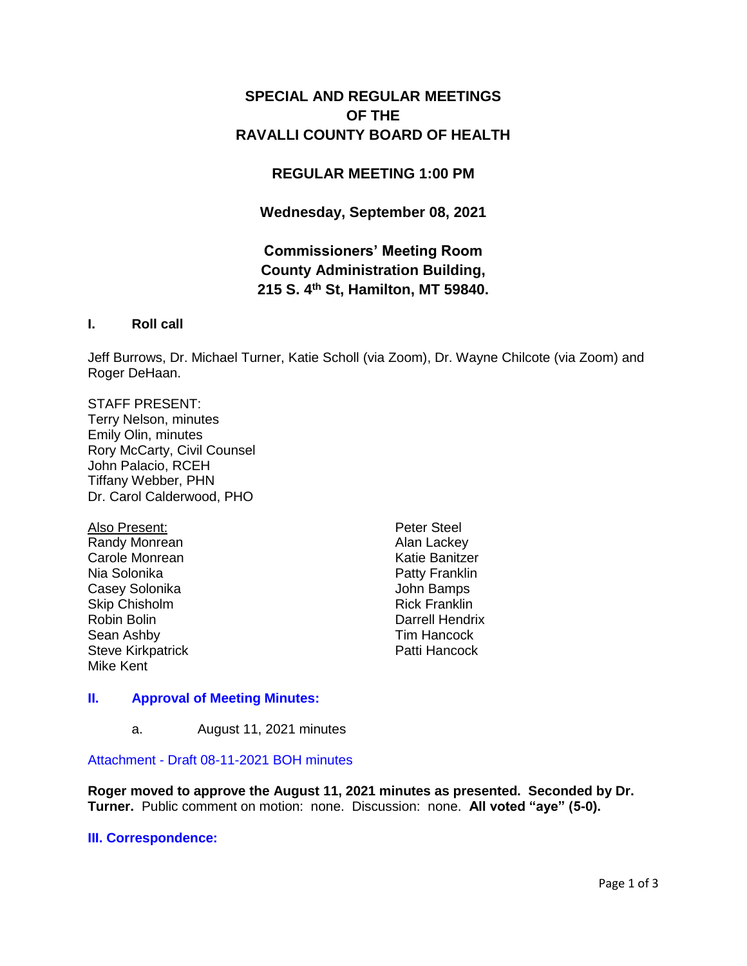# **SPECIAL AND REGULAR MEETINGS OF THE RAVALLI COUNTY BOARD OF HEALTH**

## **REGULAR MEETING 1:00 PM**

**Wednesday, September 08, 2021**

# **Commissioners' Meeting Room County Administration Building, 215 S. 4th St, Hamilton, MT 59840.**

### **I. Roll call**

Jeff Burrows, Dr. Michael Turner, Katie Scholl (via Zoom), Dr. Wayne Chilcote (via Zoom) and Roger DeHaan.

#### STAFF PRESENT:

Terry Nelson, minutes Emily Olin, minutes Rory McCarty, Civil Counsel John Palacio, RCEH Tiffany Webber, PHN Dr. Carol Calderwood, PHO

Also Present: Randy Monrean Carole Monrean Nia Solonika Casey Solonika Skip Chisholm Robin Bolin Sean Ashby Steve Kirkpatrick Mike Kent

Peter Steel Alan Lackey Katie Banitzer Patty Franklin John Bamps Rick Franklin Darrell Hendrix Tim Hancock Patti Hancock

### **II. [Approval of Meeting Minutes:](http://ravalli-mt.granicus.com/wordlinkreceiver.php?clip_id=dab5a7b7-de88-4dd7-aa22-3f5debce3813&meta_id=998f7be0-fa7c-4512-b4e3-4bdc2619e14c&time=39)**

a. August 11, 2021 minutes

Attachment - [Draft 08-11-2021 BOH minutes](http://ravalli-mt.granicus.com/DocumentViewer.php?file=ravalli-mt_7d0ea5d9c3214303cb30079e9b71b067.pdf)

**Roger moved to approve the August 11, 2021 minutes as presented. Seconded by Dr. Turner.** Public comment on motion: none. Discussion: none. **All voted "aye" (5-0).**

### **[III. Correspondence:](http://ravalli-mt.granicus.com/wordlinkreceiver.php?clip_id=dab5a7b7-de88-4dd7-aa22-3f5debce3813&meta_id=49dbdf37-7417-497b-9bbe-815a64c8cde0&time=71)**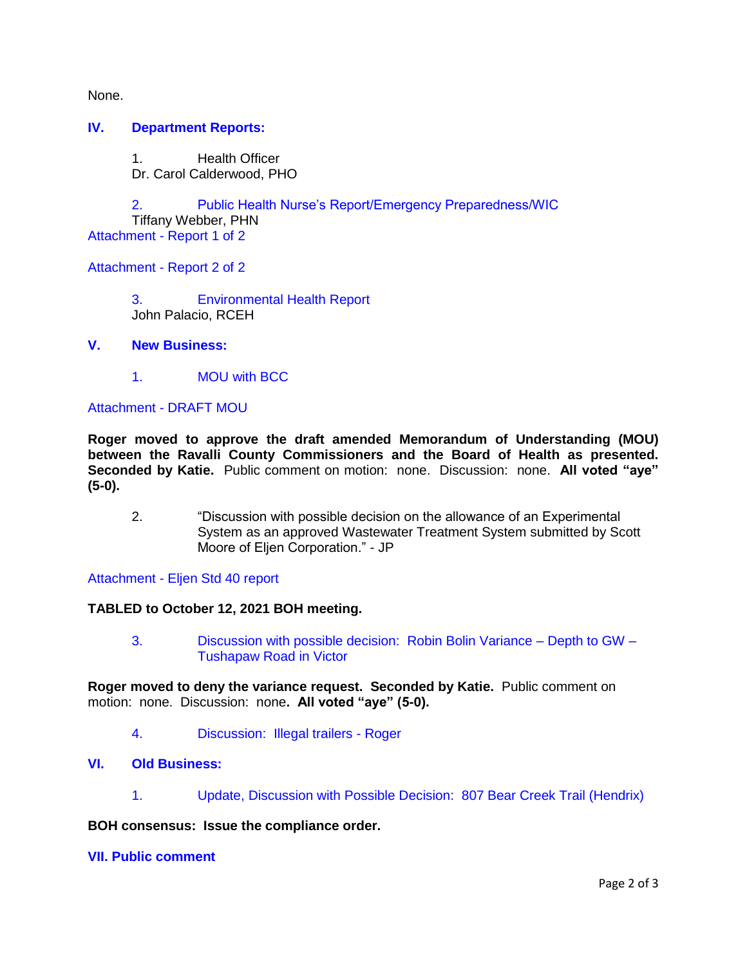None.

#### **IV. [Department Reports:](http://ravalli-mt.granicus.com/wordlinkreceiver.php?clip_id=dab5a7b7-de88-4dd7-aa22-3f5debce3813&meta_id=49ca471f-cedc-47d1-86c7-b3dea2e70db5&time=79)**

1. Health Officer Dr. Carol Calderwood, PHO

2. [Public Health Nurse's Report/Emergency Preparedness/WIC](http://ravalli-mt.granicus.com/wordlinkreceiver.php?clip_id=dab5a7b7-de88-4dd7-aa22-3f5debce3813&meta_id=78859a46-d69d-4492-a03d-d49b959ba8a9&time=1181) Tiffany Webber, PHN Attachment - [Report 1 of 2](http://ravalli-mt.granicus.com/DocumentViewer.php?file=ravalli-mt_7626f4823205f63fe8010adfd8829007.pdf)

Attachment - [Report 2 of 2](http://ravalli-mt.granicus.com/DocumentViewer.php?file=ravalli-mt_b1e98b7cb42b7b5bf8ae1c1cdb70c480.pdf)

3. [Environmental Health Report](http://ravalli-mt.granicus.com/wordlinkreceiver.php?clip_id=dab5a7b7-de88-4dd7-aa22-3f5debce3813&meta_id=4c5715b4-1ead-4774-8561-be133eb11d61&time=1188) John Palacio, RCEH

#### **V. [New Business:](http://ravalli-mt.granicus.com/wordlinkreceiver.php?clip_id=dab5a7b7-de88-4dd7-aa22-3f5debce3813&meta_id=62e55ba2-0adb-4a68-9a0b-d2f1c03da482&time=1940)**

1. [MOU with BCC](http://ravalli-mt.granicus.com/wordlinkreceiver.php?clip_id=dab5a7b7-de88-4dd7-aa22-3f5debce3813&meta_id=4ed41f5d-c0ea-4abd-89d1-eef61a1585f4&time=1941)

#### Attachment - [DRAFT MOU](http://ravalli-mt.granicus.com/DocumentViewer.php?file=ravalli-mt_c5fa70d9d8a44b8de03e0cd145c6f548.pdf)

**Roger moved to approve the draft amended Memorandum of Understanding (MOU) between the Ravalli County Commissioners and the Board of Health as presented. Seconded by Katie.** Public comment on motion: none. Discussion: none. **All voted "aye" (5-0).**

2. "Discussion with possible decision on the allowance of an Experimental System as an approved Wastewater Treatment System submitted by Scott Moore of Eljen Corporation." - JP

#### Attachment - [Eljen Std 40 report](http://ravalli-mt.granicus.com/DocumentViewer.php?file=ravalli-mt_d3b1033564b35b80d804478759306bd8.PDF)

#### **TABLED to October 12, 2021 BOH meeting.**

3. [Discussion with possible decision: Robin Bolin Variance –](http://ravalli-mt.granicus.com/wordlinkreceiver.php?clip_id=dab5a7b7-de88-4dd7-aa22-3f5debce3813&meta_id=55f51050-dfc9-4501-a201-5ca2dc9594b2&time=2428) Depth to GW – [Tushapaw Road in Victor](http://ravalli-mt.granicus.com/wordlinkreceiver.php?clip_id=dab5a7b7-de88-4dd7-aa22-3f5debce3813&meta_id=55f51050-dfc9-4501-a201-5ca2dc9594b2&time=2428)

**Roger moved to deny the variance request. Seconded by Katie.** Public comment on motion: none. Discussion: none**. All voted "aye" (5-0).**

4. [Discussion: Illegal trailers -](http://ravalli-mt.granicus.com/wordlinkreceiver.php?clip_id=dab5a7b7-de88-4dd7-aa22-3f5debce3813&meta_id=d506eb20-76fe-4be3-8cb7-0ac3d5a0b07a&time=4176) Roger

#### **VI. [Old Business:](http://ravalli-mt.granicus.com/wordlinkreceiver.php?clip_id=dab5a7b7-de88-4dd7-aa22-3f5debce3813&meta_id=3737d68f-39ac-4ce5-9557-f55170dc7804&time=6096)**

1. [Update, Discussion with Possible Decision: 807 Bear Creek Trail \(Hendrix\)](http://ravalli-mt.granicus.com/wordlinkreceiver.php?clip_id=dab5a7b7-de88-4dd7-aa22-3f5debce3813&meta_id=65f9dc3b-73ae-4d57-a769-07d34ab03f43&time=6097)

#### **BOH consensus: Issue the compliance order.**

#### **[VII. Public comment](http://ravalli-mt.granicus.com/wordlinkreceiver.php?clip_id=dab5a7b7-de88-4dd7-aa22-3f5debce3813&meta_id=20e8afc8-2ff8-41d7-b7f4-7618f13aec64&time=6638)**